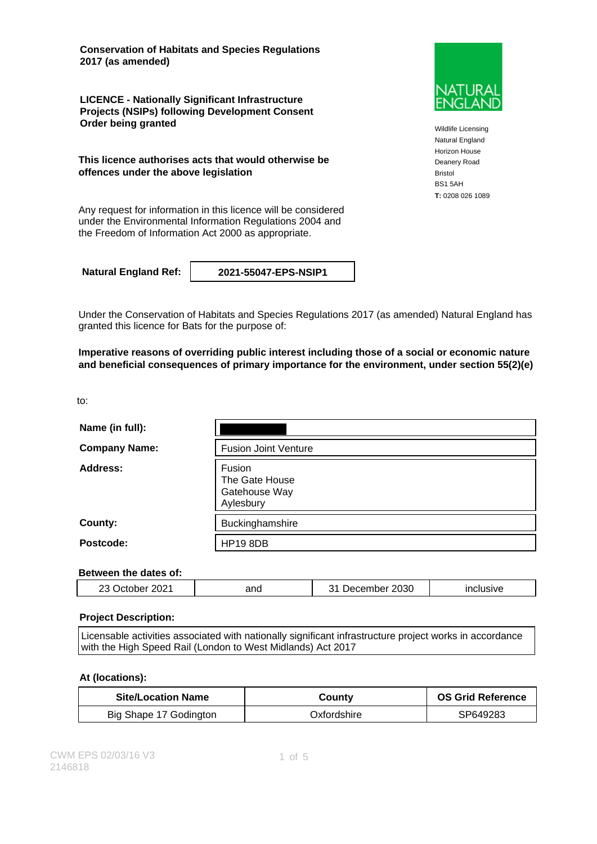**Conservation of Habitats and Species Regulations 2017 (as amended)**

**LICENCE - Nationally Significant Infrastructure Projects (NSIPs) following Development Consent Order being granted**

**This licence authorises acts that would otherwise be offences under the above legislation**

Any request for information in this licence will be considered under the Environmental Information Regulations 2004 and the Freedom of Information Act 2000 as appropriate.

**Natural England Ref: 2021-55047-EPS-NSIP1**

Under the Conservation of Habitats and Species Regulations 2017 (as amended) Natural England has granted this licence for Bats for the purpose of:

**Imperative reasons of overriding public interest including those of a social or economic nature and beneficial consequences of primary importance for the environment, under section 55(2)(e)**

to:

| Name (in full):      |                                                        |
|----------------------|--------------------------------------------------------|
| <b>Company Name:</b> | <b>Fusion Joint Venture</b>                            |
| Address:             | Fusion<br>The Gate House<br>Gatehouse Way<br>Aylesbury |
| County:              | Buckinghamshire                                        |
| Postcode:            | <b>HP19 8DB</b>                                        |

### **Between the dates of:**

|  | 2021<br>or | and | 2030<br>. .<br>nder | $\sim$ $\sim$ $\sim$ $\sim$ $\sim$<br>isive |
|--|------------|-----|---------------------|---------------------------------------------|
|--|------------|-----|---------------------|---------------------------------------------|

#### **Project Description:**

Licensable activities associated with nationally significant infrastructure project works in accordance with the High Speed Rail (London to West Midlands) Act 2017

#### **At (locations):**

| <b>Site/Location Name</b> | Countv       | <b>OS Grid Reference</b> |
|---------------------------|--------------|--------------------------|
| Big Shape 17 Godington    | Oxfordshire_ | SP649283                 |



Wildlife Licensing Natural England Horizon House Deanery Road Bristol BS1 5AH **T:** 0208 026 1089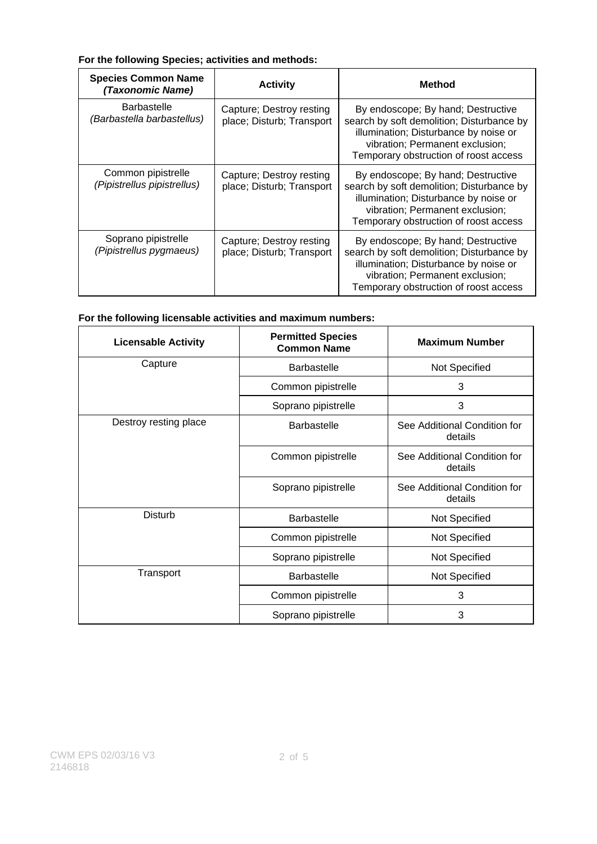### **For the following Species; activities and methods:**

| <b>Species Common Name</b><br>(Taxonomic Name)    | <b>Activity</b>                                       | <b>Method</b>                                                                                                                                                                                        |
|---------------------------------------------------|-------------------------------------------------------|------------------------------------------------------------------------------------------------------------------------------------------------------------------------------------------------------|
| <b>Barbastelle</b><br>(Barbastella barbastellus)  | Capture; Destroy resting<br>place; Disturb; Transport | By endoscope; By hand; Destructive<br>search by soft demolition; Disturbance by<br>illumination; Disturbance by noise or<br>vibration; Permanent exclusion;<br>Temporary obstruction of roost access |
| Common pipistrelle<br>(Pipistrellus pipistrellus) | Capture: Destroy resting<br>place; Disturb; Transport | By endoscope; By hand; Destructive<br>search by soft demolition; Disturbance by<br>illumination; Disturbance by noise or<br>vibration; Permanent exclusion;<br>Temporary obstruction of roost access |
| Soprano pipistrelle<br>(Pipistrellus pygmaeus)    | Capture; Destroy resting<br>place; Disturb; Transport | By endoscope; By hand; Destructive<br>search by soft demolition; Disturbance by<br>illumination; Disturbance by noise or<br>vibration; Permanent exclusion;<br>Temporary obstruction of roost access |

### **For the following licensable activities and maximum numbers:**

| <b>Licensable Activity</b> | <b>Permitted Species</b><br><b>Common Name</b> | <b>Maximum Number</b>                   |
|----------------------------|------------------------------------------------|-----------------------------------------|
| Capture                    | <b>Barbastelle</b>                             | Not Specified                           |
|                            | Common pipistrelle                             | 3                                       |
|                            | Soprano pipistrelle                            | 3                                       |
| Destroy resting place      | <b>Barbastelle</b>                             | See Additional Condition for<br>details |
|                            | Common pipistrelle                             | See Additional Condition for<br>details |
|                            | Soprano pipistrelle                            | See Additional Condition for<br>details |
| <b>Disturb</b>             | <b>Barbastelle</b>                             | Not Specified                           |
|                            | Common pipistrelle                             | Not Specified                           |
|                            | Soprano pipistrelle                            | Not Specified                           |
| Transport                  | <b>Barbastelle</b>                             | Not Specified                           |
|                            | Common pipistrelle                             | 3                                       |
|                            | Soprano pipistrelle                            | 3                                       |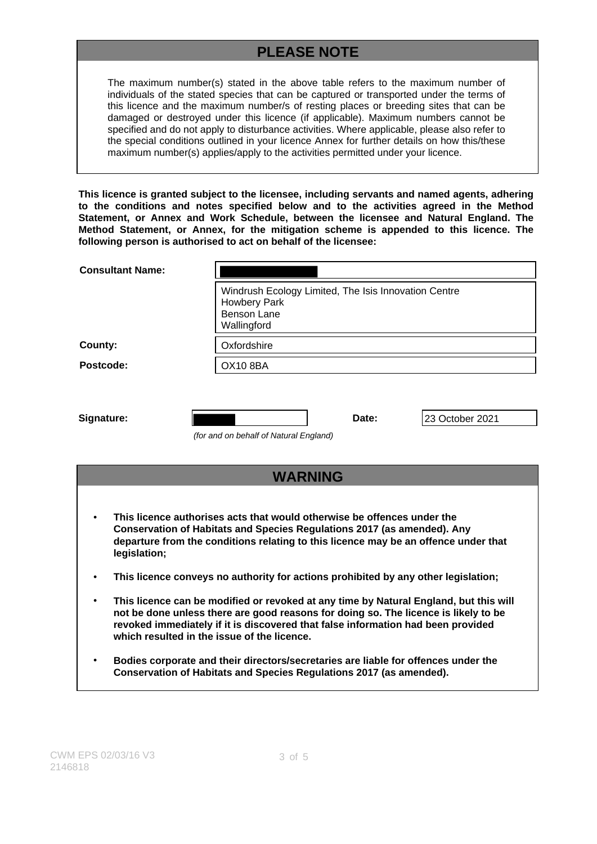# **PLEASE NOTE**

The maximum number(s) stated in the above table refers to the maximum number of individuals of the stated species that can be captured or transported under the terms of this licence and the maximum number/s of resting places or breeding sites that can be damaged or destroyed under this licence (if applicable). Maximum numbers cannot be specified and do not apply to disturbance activities. Where applicable, please also refer to the special conditions outlined in your licence Annex for further details on how this/these maximum number(s) applies/apply to the activities permitted under your licence.

**This licence is granted subject to the licensee, including servants and named agents, adhering to the conditions and notes specified below and to the activities agreed in the Method Statement, or Annex and Work Schedule, between the licensee and Natural England. The Method Statement, or Annex, for the mitigation scheme is appended to this licence. The following person is authorised to act on behalf of the licensee:**

| <b>Consultant Name:</b> |                                                                                                                                                                                                                                                  |  |  |
|-------------------------|--------------------------------------------------------------------------------------------------------------------------------------------------------------------------------------------------------------------------------------------------|--|--|
|                         | Windrush Ecology Limited, The Isis Innovation Centre<br>Howbery Park<br><b>Benson Lane</b><br>Wallingford                                                                                                                                        |  |  |
| County:                 | Oxfordshire                                                                                                                                                                                                                                      |  |  |
| Postcode:               | <b>OX10 8BA</b>                                                                                                                                                                                                                                  |  |  |
| Signature:              | Date:<br>23 October 2021<br>(for and on behalf of Natural England)                                                                                                                                                                               |  |  |
|                         | <b>WARNING</b>                                                                                                                                                                                                                                   |  |  |
| legislation;            | This licence authorises acts that would otherwise be offences under the<br><b>Conservation of Habitats and Species Regulations 2017 (as amended). Any</b><br>departure from the conditions relating to this licence may be an offence under that |  |  |
|                         | This licence conveys no authority for actions prohibited by any other legislation;                                                                                                                                                               |  |  |
|                         | TILLE Province a contra constit Plant a constant anti-constitution in Machinet Frantisch in Locality of the                                                                                                                                      |  |  |

- **This licence can be modified or revoked at any time by Natural England, but this will not be done unless there are good reasons for doing so. The licence is likely to be revoked immediately if it is discovered that false information had been provided which resulted in the issue of the licence.**
- **Bodies corporate and their directors/secretaries are liable for offences under the Conservation of Habitats and Species Regulations 2017 (as amended).**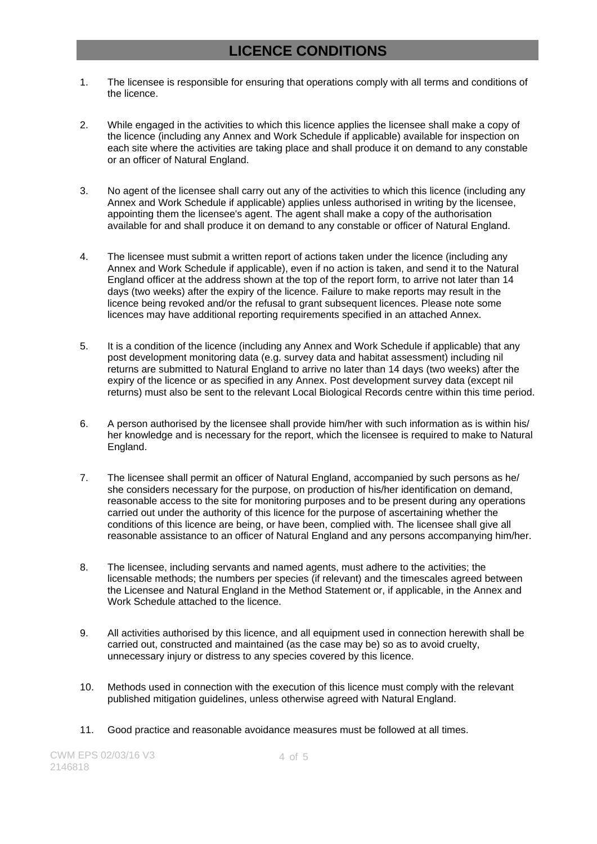## **LICENCE CONDITIONS**

- 1. The licensee is responsible for ensuring that operations comply with all terms and conditions of the licence.
- 2. While engaged in the activities to which this licence applies the licensee shall make a copy of the licence (including any Annex and Work Schedule if applicable) available for inspection on each site where the activities are taking place and shall produce it on demand to any constable or an officer of Natural England.
- 3. No agent of the licensee shall carry out any of the activities to which this licence (including any Annex and Work Schedule if applicable) applies unless authorised in writing by the licensee, appointing them the licensee's agent. The agent shall make a copy of the authorisation available for and shall produce it on demand to any constable or officer of Natural England.
- 4. The licensee must submit a written report of actions taken under the licence (including any Annex and Work Schedule if applicable), even if no action is taken, and send it to the Natural England officer at the address shown at the top of the report form, to arrive not later than 14 days (two weeks) after the expiry of the licence. Failure to make reports may result in the licence being revoked and/or the refusal to grant subsequent licences. Please note some licences may have additional reporting requirements specified in an attached Annex.
- 5. It is a condition of the licence (including any Annex and Work Schedule if applicable) that any post development monitoring data (e.g. survey data and habitat assessment) including nil returns are submitted to Natural England to arrive no later than 14 days (two weeks) after the expiry of the licence or as specified in any Annex. Post development survey data (except nil returns) must also be sent to the relevant Local Biological Records centre within this time period.
- 6. A person authorised by the licensee shall provide him/her with such information as is within his/ her knowledge and is necessary for the report, which the licensee is required to make to Natural England.
- 7. The licensee shall permit an officer of Natural England, accompanied by such persons as he/ she considers necessary for the purpose, on production of his/her identification on demand, reasonable access to the site for monitoring purposes and to be present during any operations carried out under the authority of this licence for the purpose of ascertaining whether the conditions of this licence are being, or have been, complied with. The licensee shall give all reasonable assistance to an officer of Natural England and any persons accompanying him/her.
- 8. The licensee, including servants and named agents, must adhere to the activities; the licensable methods; the numbers per species (if relevant) and the timescales agreed between the Licensee and Natural England in the Method Statement or, if applicable, in the Annex and Work Schedule attached to the licence.
- 9. All activities authorised by this licence, and all equipment used in connection herewith shall be carried out, constructed and maintained (as the case may be) so as to avoid cruelty, unnecessary injury or distress to any species covered by this licence.
- 10. Methods used in connection with the execution of this licence must comply with the relevant published mitigation guidelines, unless otherwise agreed with Natural England.
- 11. Good practice and reasonable avoidance measures must be followed at all times.